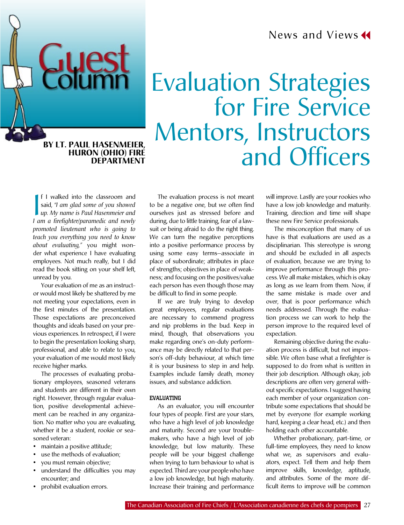News and Views<sup>4</sup>

# Evaluation Strategies for Fire Service Mentors, Instructors BY LT. PAUL HASENMEIER,<br>
HURON (OHIO) FIRE **DEPARTMENT And Officers**

**Huron (Ohio) Fire Department**

**Guest** 

**I** I walked into the classroom and<br>said, "*I am glad some of you showed*<br>up. My name is Paul Hasenmeier and<br>*Lam a firefighter/paramedic and newly* f I walked into the classroom and said, "*I am glad some of you showed I am a firefighter/paramedic and newly promoted lieutenant who is going to teach you everything you need to know about evaluating,"* you might wonder what experience I have evaluating employees. Not much really, but I did read the book sitting on your shelf left, unread by you.

Your evaluation of me as an instructor would most likely be shattered by me not meeting your expectations, even in the first minutes of the presentation. Those expectations are preconceived thoughts and ideals based on your previous experiences. In retrospect, if I were to begin the presentation looking sharp, professional, and able to relate to you, your evaluation of me would most likely receive higher marks.

The processes of evaluating probationary employees, seasoned veterans and students are different in their own right. However, through regular evaluation, positive developmental achievement can be reached in any organization. No matter who you are evaluating, whether it be a student, rookie or seasoned veteran:

- maintain a positive attitude;
- use the methods of evaluation;
- you must remain objective;
- understand the difficulties you may encounter; and
- prohibit evaluation errors.

The evaluation process is not meant to be a negative one, but we often find ourselves just as stressed before and during, due to little training, fear of a lawsuit or being afraid to do the right thing. We can turn the negative perceptions into a positive performance process by using some easy terms—associate in place of subordinate; attributes in place of strengths; objectives in place of weakness; and focusing on the positives/value each person has even though those may be difficult to find in some people.

If we are truly trying to develop great employees, regular evaluations are necessary to commend progress and nip problems in the bud. Keep in mind, though, that observations you make regarding one's on-duty performance may be directly related to that person's off-duty behaviour, at which time it is your business to step in and help. Examples include family death, money issues, and substance addiction.

## **EVALUATING**

As an evaluator, you will encounter four types of people. First are your stars, who have a high level of job knowledge and maturity. Second are your troublemakers, who have a high level of job knowledge, but low maturity. These people will be your biggest challenge when trying to turn behaviour to what is expected. Third are your people who have a low job knowledge, but high maturity. Increase their training and performance will improve. Lastly are your rookies who have a low job knowledge and maturity. Training, direction and time will shape these new Fire Service professionals.

The misconception that many of us have is that evaluations are used as a disciplinarian. This stereotype is wrong and should be excluded in all aspects of evaluation, because we are trying to improve performance through this process. We all make mistakes, which is okay as long as we learn from them. Now, if the same mistake is made over and over, that is poor performance which needs addressed. Through the evaluation process we can work to help the person improve to the required level of expectation.

Remaining objective during the evaluation process is difficult, but not impossible. We often base what a firefighter is supposed to do from what is written in their job description. Although okay, job descriptions are often very general without specific expectations. I suggest having each member of your organization contribute some expectations that should be met by everyone (for example working hard, keeping a clear head, etc.) and then holding each other accountable.

Whether probationary, part-time, or full-time employees, they need to know what we, as supervisors and evaluators, expect. Tell them and help them improve skills, knowledge, aptitude, and attributes. Some of the more difficult items to improve will be common